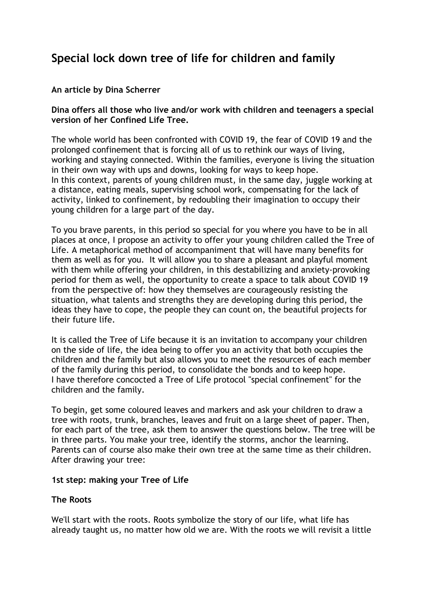# **Special lock down tree of life for children and family**

### **An article by Dina Scherrer**

#### **Dina offers all those who live and/or work with children and teenagers a special version of her Confined Life Tree.**

The whole world has been confronted with COVID 19, the fear of COVID 19 and the prolonged confinement that is forcing all of us to rethink our ways of living, working and staying connected. Within the families, everyone is living the situation in their own way with ups and downs, looking for ways to keep hope. In this context, parents of young children must, in the same day, juggle working at a distance, eating meals, supervising school work, compensating for the lack of activity, linked to confinement, by redoubling their imagination to occupy their young children for a large part of the day.

To you brave parents, in this period so special for you where you have to be in all places at once, I propose an activity to offer your young children called the Tree of Life. A metaphorical method of accompaniment that will have many benefits for them as well as for you. It will allow you to share a pleasant and playful moment with them while offering your children, in this destabilizing and anxiety-provoking period for them as well, the opportunity to create a space to talk about COVID 19 from the perspective of: how they themselves are courageously resisting the situation, what talents and strengths they are developing during this period, the ideas they have to cope, the people they can count on, the beautiful projects for their future life.

It is called the Tree of Life because it is an invitation to accompany your children on the side of life, the idea being to offer you an activity that both occupies the children and the family but also allows you to meet the resources of each member of the family during this period, to consolidate the bonds and to keep hope. I have therefore concocted a Tree of Life protocol "special confinement" for the children and the family.

To begin, get some coloured leaves and markers and ask your children to draw a tree with roots, trunk, branches, leaves and fruit on a large sheet of paper. Then, for each part of the tree, ask them to answer the questions below. The tree will be in three parts. You make your tree, identify the storms, anchor the learning. Parents can of course also make their own tree at the same time as their children. After drawing your tree:

#### **1st step: making your Tree of Life**

#### **The Roots**

We'll start with the roots. Roots symbolize the story of our life, what life has already taught us, no matter how old we are. With the roots we will revisit a little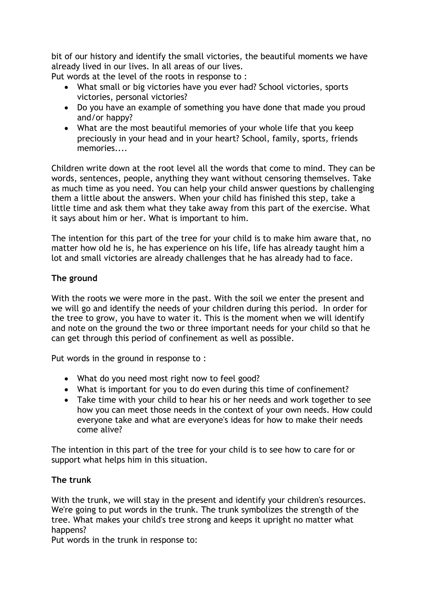bit of our history and identify the small victories, the beautiful moments we have already lived in our lives. In all areas of our lives.

Put words at the level of the roots in response to :

- What small or big victories have you ever had? School victories, sports victories, personal victories?
- Do you have an example of something you have done that made you proud and/or happy?
- What are the most beautiful memories of your whole life that you keep preciously in your head and in your heart? School, family, sports, friends memories....

Children write down at the root level all the words that come to mind. They can be words, sentences, people, anything they want without censoring themselves. Take as much time as you need. You can help your child answer questions by challenging them a little about the answers. When your child has finished this step, take a little time and ask them what they take away from this part of the exercise. What it says about him or her. What is important to him.

The intention for this part of the tree for your child is to make him aware that, no matter how old he is, he has experience on his life, life has already taught him a lot and small victories are already challenges that he has already had to face.

# **The ground**

With the roots we were more in the past. With the soil we enter the present and we will go and identify the needs of your children during this period. In order for the tree to grow, you have to water it. This is the moment when we will identify and note on the ground the two or three important needs for your child so that he can get through this period of confinement as well as possible.

Put words in the ground in response to :

- What do you need most right now to feel good?
- What is important for you to do even during this time of confinement?
- Take time with your child to hear his or her needs and work together to see how you can meet those needs in the context of your own needs. How could everyone take and what are everyone's ideas for how to make their needs come alive?

The intention in this part of the tree for your child is to see how to care for or support what helps him in this situation.

# **The trunk**

With the trunk, we will stay in the present and identify your children's resources. We're going to put words in the trunk. The trunk symbolizes the strength of the tree. What makes your child's tree strong and keeps it upright no matter what happens?

Put words in the trunk in response to: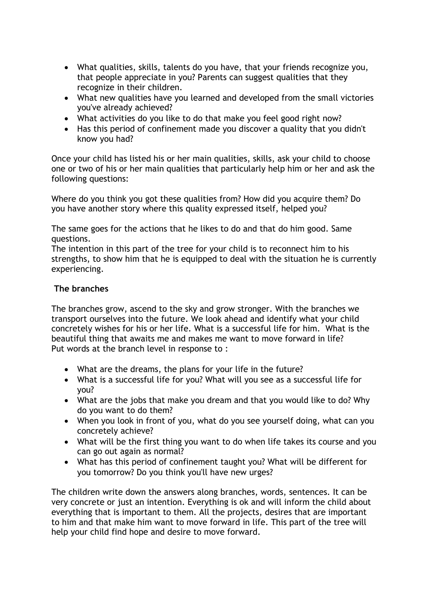- What qualities, skills, talents do you have, that your friends recognize you, that people appreciate in you? Parents can suggest qualities that they recognize in their children.
- What new qualities have you learned and developed from the small victories you've already achieved?
- What activities do you like to do that make you feel good right now?
- Has this period of confinement made you discover a quality that you didn't know you had?

Once your child has listed his or her main qualities, skills, ask your child to choose one or two of his or her main qualities that particularly help him or her and ask the following questions:

Where do you think you got these qualities from? How did you acquire them? Do you have another story where this quality expressed itself, helped you?

The same goes for the actions that he likes to do and that do him good. Same questions.

The intention in this part of the tree for your child is to reconnect him to his strengths, to show him that he is equipped to deal with the situation he is currently experiencing.

#### **The branches**

The branches grow, ascend to the sky and grow stronger. With the branches we transport ourselves into the future. We look ahead and identify what your child concretely wishes for his or her life. What is a successful life for him. What is the beautiful thing that awaits me and makes me want to move forward in life? Put words at the branch level in response to :

- What are the dreams, the plans for your life in the future?
- What is a successful life for you? What will you see as a successful life for you?
- What are the jobs that make you dream and that you would like to do? Why do you want to do them?
- When you look in front of you, what do you see yourself doing, what can you concretely achieve?
- What will be the first thing you want to do when life takes its course and you can go out again as normal?
- What has this period of confinement taught you? What will be different for you tomorrow? Do you think you'll have new urges?

The children write down the answers along branches, words, sentences. It can be very concrete or just an intention. Everything is ok and will inform the child about everything that is important to them. All the projects, desires that are important to him and that make him want to move forward in life. This part of the tree will help your child find hope and desire to move forward.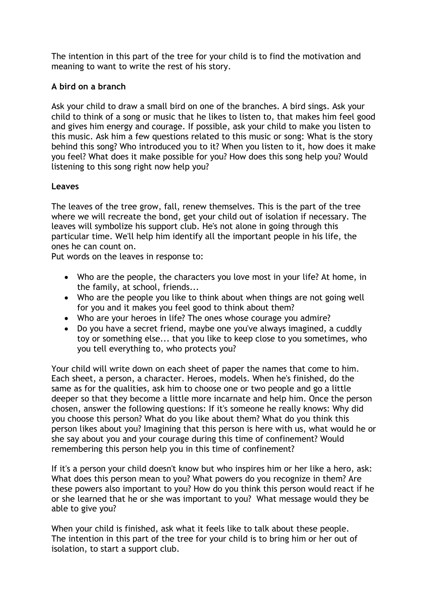The intention in this part of the tree for your child is to find the motivation and meaning to want to write the rest of his story.

# **A bird on a branch**

Ask your child to draw a small bird on one of the branches. A bird sings. Ask your child to think of a song or music that he likes to listen to, that makes him feel good and gives him energy and courage. If possible, ask your child to make you listen to this music. Ask him a few questions related to this music or song: What is the story behind this song? Who introduced you to it? When you listen to it, how does it make you feel? What does it make possible for you? How does this song help you? Would listening to this song right now help you?

# **Leaves**

The leaves of the tree grow, fall, renew themselves. This is the part of the tree where we will recreate the bond, get your child out of isolation if necessary. The leaves will symbolize his support club. He's not alone in going through this particular time. We'll help him identify all the important people in his life, the ones he can count on.

Put words on the leaves in response to:

- Who are the people, the characters you love most in your life? At home, in the family, at school, friends...
- Who are the people you like to think about when things are not going well for you and it makes you feel good to think about them?
- Who are your heroes in life? The ones whose courage you admire?
- Do you have a secret friend, maybe one you've always imagined, a cuddly toy or something else... that you like to keep close to you sometimes, who you tell everything to, who protects you?

Your child will write down on each sheet of paper the names that come to him. Each sheet, a person, a character. Heroes, models. When he's finished, do the same as for the qualities, ask him to choose one or two people and go a little deeper so that they become a little more incarnate and help him. Once the person chosen, answer the following questions: If it's someone he really knows: Why did you choose this person? What do you like about them? What do you think this person likes about you? Imagining that this person is here with us, what would he or she say about you and your courage during this time of confinement? Would remembering this person help you in this time of confinement?

If it's a person your child doesn't know but who inspires him or her like a hero, ask: What does this person mean to you? What powers do you recognize in them? Are these powers also important to you? How do you think this person would react if he or she learned that he or she was important to you? What message would they be able to give you?

When your child is finished, ask what it feels like to talk about these people. The intention in this part of the tree for your child is to bring him or her out of isolation, to start a support club.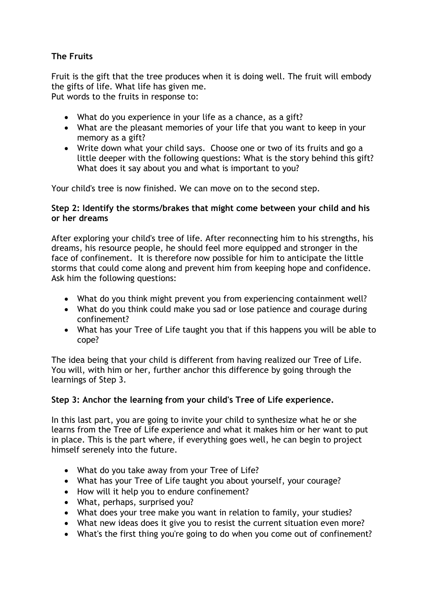# **The Fruits**

Fruit is the gift that the tree produces when it is doing well. The fruit will embody the gifts of life. What life has given me. Put words to the fruits in response to:

- What do you experience in your life as a chance, as a gift?
- What are the pleasant memories of your life that you want to keep in your memory as a gift?
- Write down what your child says. Choose one or two of its fruits and go a little deeper with the following questions: What is the story behind this gift? What does it say about you and what is important to you?

Your child's tree is now finished. We can move on to the second step.

#### **Step 2: Identify the storms/brakes that might come between your child and his or her dreams**

After exploring your child's tree of life. After reconnecting him to his strengths, his dreams, his resource people, he should feel more equipped and stronger in the face of confinement. It is therefore now possible for him to anticipate the little storms that could come along and prevent him from keeping hope and confidence. Ask him the following questions:

- What do you think might prevent you from experiencing containment well?
- What do you think could make you sad or lose patience and courage during confinement?
- What has your Tree of Life taught you that if this happens you will be able to cope?

The idea being that your child is different from having realized our Tree of Life. You will, with him or her, further anchor this difference by going through the learnings of Step 3.

# **Step 3: Anchor the learning from your child's Tree of Life experience.**

In this last part, you are going to invite your child to synthesize what he or she learns from the Tree of Life experience and what it makes him or her want to put in place. This is the part where, if everything goes well, he can begin to project himself serenely into the future.

- What do you take away from your Tree of Life?
- What has your Tree of Life taught you about yourself, your courage?
- How will it help you to endure confinement?
- What, perhaps, surprised you?
- What does your tree make you want in relation to family, your studies?
- What new ideas does it give you to resist the current situation even more?
- What's the first thing you're going to do when you come out of confinement?